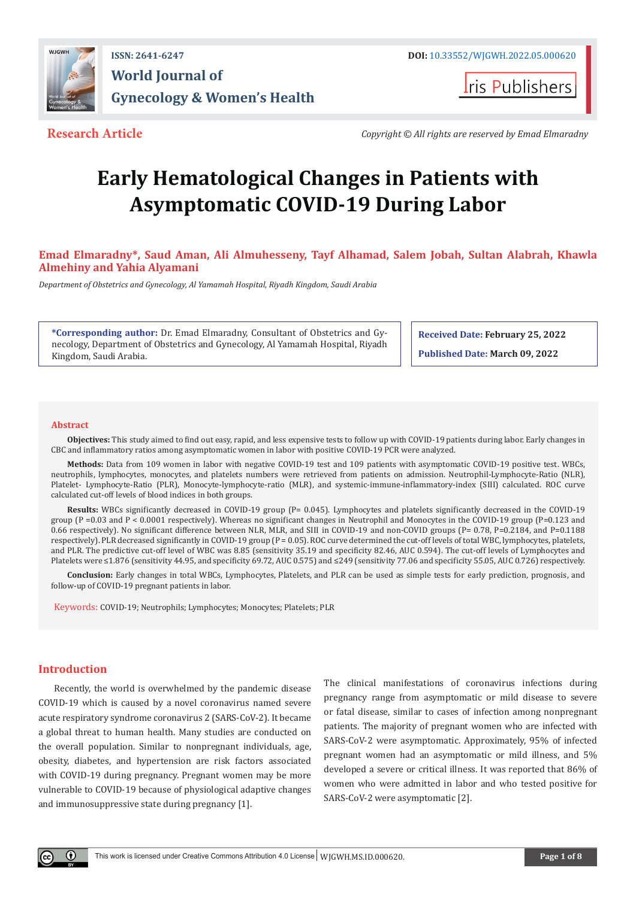

**I**ris Publishers

**Research Article** *Copyright © All rights are reserved by Emad Elmaradny*

# **Early Hematological Changes in Patients with Asymptomatic COVID-19 During Labor**

**Emad Elmaradny\*, Saud Aman, Ali Almuhesseny, Tayf Alhamad, Salem Jobah, Sultan Alabrah, Khawla Almehiny and Yahia Alyamani**

*Department of Obstetrics and Gynecology, Al Yamamah Hospital, Riyadh Kingdom, Saudi Arabia*

**\*Corresponding author:** Dr. Emad Elmaradny, Consultant of Obstetrics and Gynecology, Department of Obstetrics and Gynecology, Al Yamamah Hospital, Riyadh Kingdom, Saudi Arabia.

**Received Date: February 25, 2022**

**Published Date: March 09, 2022**

#### **Abstract**

**Objectives:** This study aimed to find out easy, rapid, and less expensive tests to follow up with COVID-19 patients during labor. Early changes in CBC and inflammatory ratios among asymptomatic women in labor with positive COVID-19 PCR were analyzed.

**Methods:** Data from 109 women in labor with negative COVID-19 test and 109 patients with asymptomatic COVID-19 positive test. WBCs, neutrophils, lymphocytes, monocytes, and platelets numbers were retrieved from patients on admission. Neutrophil-Lymphocyte-Ratio (NLR), Platelet- Lymphocyte-Ratio (PLR), Monocyte-lymphocyte-ratio (MLR), and systemic-immune-inflammatory-index (SIII) calculated. ROC curve calculated cut-off levels of blood indices in both groups.

**Results:** WBCs significantly decreased in COVID-19 group (P= 0.045). Lymphocytes and platelets significantly decreased in the COVID-19 group (P =0.03 and P < 0.0001 respectively). Whereas no significant changes in Neutrophil and Monocytes in the COVID-19 group (P=0.123 and 0.66 respectively). No significant difference between NLR, MLR, and SIII in COVID-19 and non-COVID groups (P= 0.78, P=0.2184, and P=0.1188 respectively). PLR decreased significantly in COVID-19 group (P = 0.05). ROC curve determined the cut-off levels of total WBC, lymphocytes, platelets, and PLR. The predictive cut-off level of WBC was 8.85 (sensitivity 35.19 and specificity 82.46, AUC 0.594). The cut-off levels of Lymphocytes and Platelets were ≤1.876 (sensitivity 44.95, and specificity 69.72, AUC 0.575) and ≤249 (sensitivity 77.06 and specificity 55.05, AUC 0.726) respectively.

**Conclusion:** Early changes in total WBCs, Lymphocytes, Platelets, and PLR can be used as simple tests for early prediction, prognosis, and follow-up of COVID-19 pregnant patients in labor.

Keywords: COVID-19; Neutrophils; Lymphocytes; Monocytes; Platelets; PLR

# **Introduction**

Recently, the world is overwhelmed by the pandemic disease COVID-19 which is caused by a novel coronavirus named severe acute respiratory syndrome coronavirus 2 (SARS-CoV-2). It became a global threat to human health. Many studies are conducted on the overall population. Similar to nonpregnant individuals, age, obesity, diabetes, and hypertension are risk factors associated with COVID-19 during pregnancy. Pregnant women may be more vulnerable to COVID-19 because of physiological adaptive changes and immunosuppressive state during pregnancy [1].

The clinical manifestations of coronavirus infections during pregnancy range from asymptomatic or mild disease to severe or fatal disease, similar to cases of infection among nonpregnant patients. The majority of pregnant women who are infected with SARS-CoV-2 were asymptomatic. Approximately, 95% of infected pregnant women had an asymptomatic or mild illness, and 5% developed a severe or critical illness. It was reported that 86% of women who were admitted in labor and who tested positive for SARS-CoV-2 were asymptomatic [2].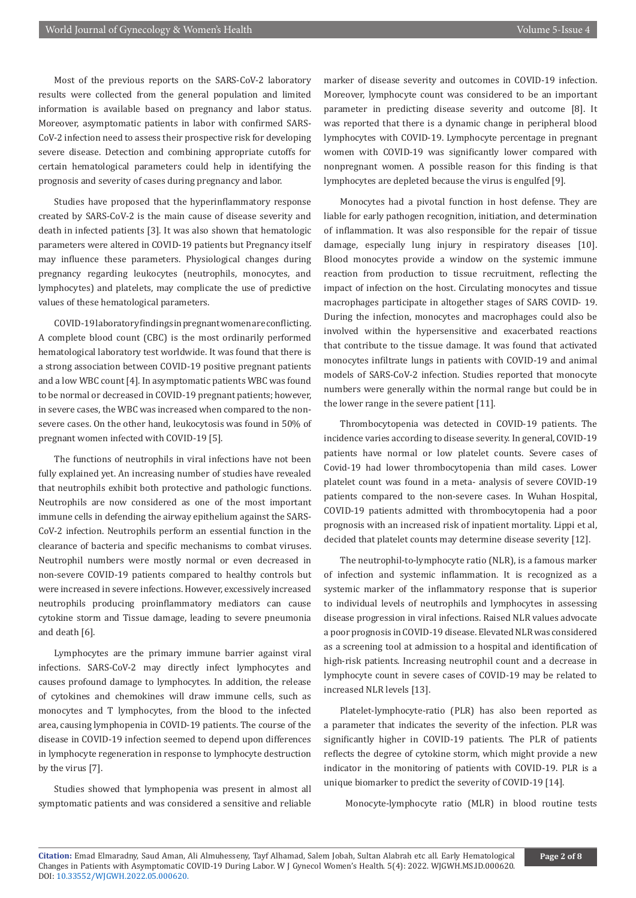Most of the previous reports on the SARS-CoV-2 laboratory results were collected from the general population and limited information is available based on pregnancy and labor status. Moreover, asymptomatic patients in labor with confirmed SARS-CoV-2 infection need to assess their prospective risk for developing severe disease. Detection and combining appropriate cutoffs for certain hematological parameters could help in identifying the prognosis and severity of cases during pregnancy and labor.

Studies have proposed that the hyperinflammatory response created by SARS-CoV-2 is the main cause of disease severity and death in infected patients [3]. It was also shown that hematologic parameters were altered in COVID-19 patients but Pregnancy itself may influence these parameters. Physiological changes during pregnancy regarding leukocytes (neutrophils, monocytes, and lymphocytes) and platelets, may complicate the use of predictive values of these hematological parameters.

COVID-19 laboratory findings in pregnant women are conflicting. A complete blood count (CBC) is the most ordinarily performed hematological laboratory test worldwide. It was found that there is a strong association between COVID-19 positive pregnant patients and a low WBC count [4]. In asymptomatic patients WBC was found to be normal or decreased in COVID-19 pregnant patients; however, in severe cases, the WBC was increased when compared to the nonsevere cases. On the other hand, leukocytosis was found in 50% of pregnant women infected with COVID-19 [5].

The functions of neutrophils in viral infections have not been fully explained yet. An increasing number of studies have revealed that neutrophils exhibit both protective and pathologic functions. Neutrophils are now considered as one of the most important immune cells in defending the airway epithelium against the SARS-CoV-2 infection. Neutrophils perform an essential function in the clearance of bacteria and specific mechanisms to combat viruses. Neutrophil numbers were mostly normal or even decreased in non-severe COVID-19 patients compared to healthy controls but were increased in severe infections. However, excessively increased neutrophils producing proinflammatory mediators can cause cytokine storm and Tissue damage, leading to severe pneumonia and death [6].

Lymphocytes are the primary immune barrier against viral infections. SARS-CoV-2 may directly infect lymphocytes and causes profound damage to lymphocytes. In addition, the release of cytokines and chemokines will draw immune cells, such as monocytes and T lymphocytes, from the blood to the infected area, causing lymphopenia in COVID-19 patients. The course of the disease in COVID-19 infection seemed to depend upon differences in lymphocyte regeneration in response to lymphocyte destruction by the virus [7].

Studies showed that lymphopenia was present in almost all symptomatic patients and was considered a sensitive and reliable marker of disease severity and outcomes in COVID-19 infection. Moreover, lymphocyte count was considered to be an important parameter in predicting disease severity and outcome [8]. It was reported that there is a dynamic change in peripheral blood lymphocytes with COVID-19. Lymphocyte percentage in pregnant women with COVID-19 was significantly lower compared with nonpregnant women. A possible reason for this finding is that lymphocytes are depleted because the virus is engulfed [9].

Monocytes had a pivotal function in host defense. They are liable for early pathogen recognition, initiation, and determination of inflammation. It was also responsible for the repair of tissue damage, especially lung injury in respiratory diseases [10]. Blood monocytes provide a window on the systemic immune reaction from production to tissue recruitment, reflecting the impact of infection on the host. Circulating monocytes and tissue macrophages participate in altogether stages of SARS COVID- 19. During the infection, monocytes and macrophages could also be involved within the hypersensitive and exacerbated reactions that contribute to the tissue damage. It was found that activated monocytes infiltrate lungs in patients with COVID-19 and animal models of SARS-CoV-2 infection. Studies reported that monocyte numbers were generally within the normal range but could be in the lower range in the severe patient [11].

Thrombocytopenia was detected in COVID-19 patients. The incidence varies according to disease severity. In general, COVID-19 patients have normal or low platelet counts. Severe cases of Covid-19 had lower thrombocytopenia than mild cases. Lower platelet count was found in a meta- analysis of severe COVID-19 patients compared to the non-severe cases. In Wuhan Hospital, COVID-19 patients admitted with thrombocytopenia had a poor prognosis with an increased risk of inpatient mortality. Lippi et al, decided that platelet counts may determine disease severity [12].

The neutrophil-to-lymphocyte ratio (NLR), is a famous marker of infection and systemic inflammation. It is recognized as a systemic marker of the inflammatory response that is superior to individual levels of neutrophils and lymphocytes in assessing disease progression in viral infections. Raised NLR values advocate a poor prognosis in COVID-19 disease. Elevated NLR was considered as a screening tool at admission to a hospital and identification of high-risk patients. Increasing neutrophil count and a decrease in lymphocyte count in severe cases of COVID-19 may be related to increased NLR levels [13].

Platelet-lymphocyte-ratio (PLR) has also been reported as a parameter that indicates the severity of the infection. PLR was significantly higher in COVID-19 patients. The PLR of patients reflects the degree of cytokine storm, which might provide a new indicator in the monitoring of patients with COVID-19. PLR is a unique biomarker to predict the severity of COVID-19 [14].

Monocyte-lymphocyte ratio (MLR) in blood routine tests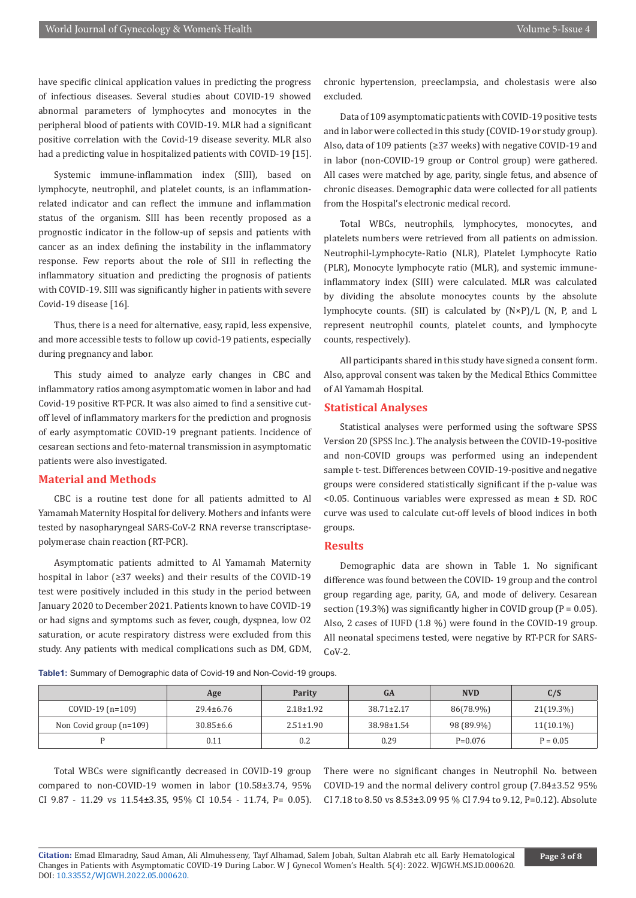have specific clinical application values in predicting the progress of infectious diseases. Several studies about COVID-19 showed abnormal parameters of lymphocytes and monocytes in the peripheral blood of patients with COVID-19. MLR had a significant positive correlation with the Covid-19 disease severity. MLR also had a predicting value in hospitalized patients with COVID-19 [15].

Systemic immune-inflammation index (SIII), based on lymphocyte, neutrophil, and platelet counts, is an inflammationrelated indicator and can reflect the immune and inflammation status of the organism. SIII has been recently proposed as a prognostic indicator in the follow-up of sepsis and patients with cancer as an index defining the instability in the inflammatory response. Few reports about the role of SIII in reflecting the inflammatory situation and predicting the prognosis of patients with COVID-19. SIII was significantly higher in patients with severe Covid-19 disease [16].

Thus, there is a need for alternative, easy, rapid, less expensive, and more accessible tests to follow up covid-19 patients, especially during pregnancy and labor.

This study aimed to analyze early changes in CBC and inflammatory ratios among asymptomatic women in labor and had Covid-19 positive RT-PCR. It was also aimed to find a sensitive cutoff level of inflammatory markers for the prediction and prognosis of early asymptomatic COVID-19 pregnant patients. Incidence of cesarean sections and feto-maternal transmission in asymptomatic patients were also investigated.

### **Material and Methods**

CBC is a routine test done for all patients admitted to Al Yamamah Maternity Hospital for delivery. Mothers and infants were tested by nasopharyngeal SARS-CoV-2 RNA reverse transcriptasepolymerase chain reaction (RT-PCR).

Asymptomatic patients admitted to Al Yamamah Maternity hospital in labor (≥37 weeks) and their results of the COVID-19 test were positively included in this study in the period between January 2020 to December 2021. Patients known to have COVID-19 or had signs and symptoms such as fever, cough, dyspnea, low O2 saturation, or acute respiratory distress were excluded from this study. Any patients with medical complications such as DM, GDM, chronic hypertension, preeclampsia, and cholestasis were also excluded.

Data of 109 asymptomatic patients with COVID-19 positive tests and in labor were collected in this study (COVID-19 or study group). Also, data of 109 patients (≥37 weeks) with negative COVID-19 and in labor (non-COVID-19 group or Control group) were gathered. All cases were matched by age, parity, single fetus, and absence of chronic diseases. Demographic data were collected for all patients from the Hospital's electronic medical record.

Total WBCs, neutrophils, lymphocytes, monocytes, and platelets numbers were retrieved from all patients on admission. Neutrophil-Lymphocyte-Ratio (NLR), Platelet Lymphocyte Ratio (PLR), Monocyte lymphocyte ratio (MLR), and systemic immuneinflammatory index (SIII) were calculated. MLR was calculated by dividing the absolute monocytes counts by the absolute lymphocyte counts. (SII) is calculated by (N×P)/L (N, P, and L represent neutrophil counts, platelet counts, and lymphocyte counts, respectively).

All participants shared in this study have signed a consent form. Also, approval consent was taken by the Medical Ethics Committee of Al Yamamah Hospital.

#### **Statistical Analyses**

Statistical analyses were performed using the software SPSS Version 20 (SPSS Inc.). The analysis between the COVID-19-positive and non-COVID groups was performed using an independent sample t- test. Differences between COVID-19-positive and negative groups were considered statistically significant if the p-value was <0.05. Continuous variables were expressed as mean ± SD. ROC curve was used to calculate cut-off levels of blood indices in both groups.

# **Results**

Demographic data are shown in Table 1. No significant difference was found between the COVID- 19 group and the control group regarding age, parity, GA, and mode of delivery. Cesarean section (19.3%) was significantly higher in COVID group ( $P = 0.05$ ). Also, 2 cases of IUFD (1.8 %) were found in the COVID-19 group. All neonatal specimens tested, were negative by RT-PCR for SARS-CoV-2.

**Table1:** Summary of Demographic data of Covid-19 and Non-Covid-19 groups.

|                           | Age             | Parity          | <b>GA</b>        | <b>NVD</b> | C/S          |
|---------------------------|-----------------|-----------------|------------------|------------|--------------|
| $COVID-19(n=109)$         | $29.4 \pm 6.76$ | $2.18 \pm 1.92$ | $38.71 \pm 2.17$ | 86(78.9%)  | $21(19.3\%)$ |
| Non Covid group $(n=109)$ | $30.85 \pm 6.6$ | $2.51 \pm 1.90$ | $38.98 \pm 1.54$ | 98 (89.9%) | $11(10.1\%)$ |
| D                         | 0.11            | 0.2             | 0.29             | $P=0.076$  | $P = 0.05$   |

Total WBCs were significantly decreased in COVID-19 group compared to non-COVID-19 women in labor (10.58±3.74, 95% CI 9.87 - 11.29 vs 11.54±3.35, 95% CI 10.54 - 11.74, P= 0.05). There were no significant changes in Neutrophil No. between COVID-19 and the normal delivery control group (7.84±3.52 95% CI 7.18 to 8.50 vs 8.53±3.09 95 % CI 7.94 to 9.12, P=0.12). Absolute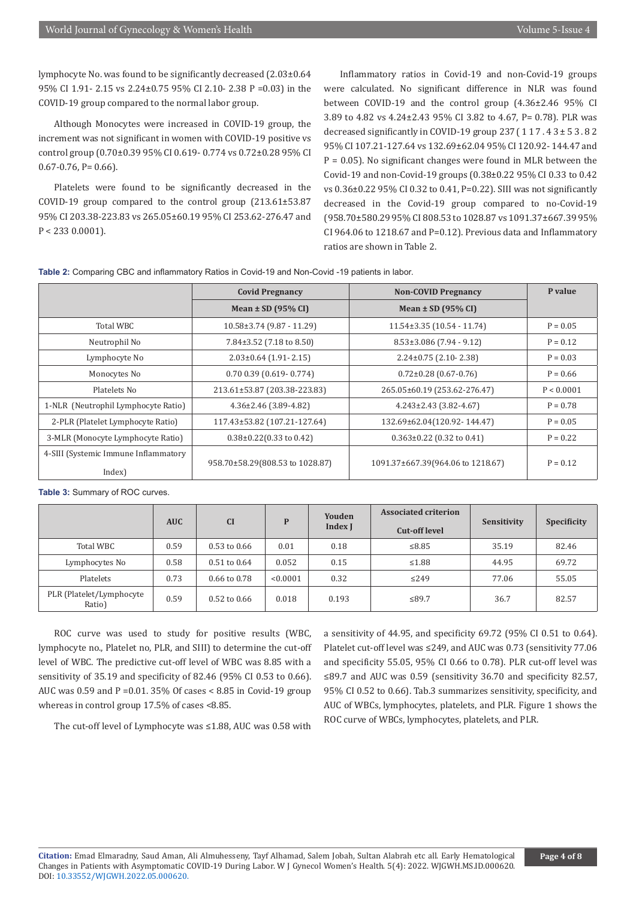lymphocyte No. was found to be significantly decreased (2.03±0.64 95% CI 1.91- 2.15 vs 2.24±0.75 95% CI 2.10- 2.38 P =0.03) in the COVID-19 group compared to the normal labor group.

Although Monocytes were increased in COVID-19 group, the increment was not significant in women with COVID-19 positive vs control group (0.70±0.39 95% CI 0.619- 0.774 vs 0.72±0.28 95% CI  $0.67 - 0.76$ , P= 0.66).

Platelets were found to be significantly decreased in the COVID-19 group compared to the control group (213.61±53.87 95% CI 203.38-223.83 vs 265.05±60.19 95% CI 253.62-276.47 and  $P < 2330.0001$ ).

Inflammatory ratios in Covid-19 and non-Covid-19 groups were calculated. No significant difference in NLR was found between COVID-19 and the control group (4.36±2.46 95% CI 3.89 to 4.82 vs 4.24±2.43 95% CI 3.82 to 4.67, P= 0.78). PLR was decreased significantly in COVID-19 group  $237(117.43 \pm 53.82)$ 95% CI 107.21-127.64 vs 132.69±62.04 95% CI 120.92- 144.47 and  $P = 0.05$ ). No significant changes were found in MLR between the Covid-19 and non-Covid-19 groups (0.38±0.22 95% CI 0.33 to 0.42 vs 0.36±0.22 95% CI 0.32 to 0.41, P=0.22). SIII was not significantly decreased in the Covid-19 group compared to no-Covid-19 (958.70±580.29 95% CI 808.53 to 1028.87 vs 1091.37±667.39 95% CI 964.06 to 1218.67 and P=0.12). Previous data and Inflammatory ratios are shown in Table 2.

**Table 2:** Comparing CBC and inflammatory Ratios in Covid-19 and Non-Covid -19 patients in labor.

|                                                | <b>Covid Pregnancy</b>               | <b>Non-COVID Pregnancy</b>        | P value    |
|------------------------------------------------|--------------------------------------|-----------------------------------|------------|
|                                                | Mean $\pm$ SD (95% CI)               | Mean $\pm$ SD (95% CI)            |            |
| Total WBC                                      | $10.58\pm3.74$ (9.87 - 11.29)        | $11.54\pm3.35$ (10.54 - 11.74)    | $P = 0.05$ |
| Neutrophil No                                  | $7.84\pm3.52$ (7.18 to 8.50)         | $8.53 \pm 3.086$ (7.94 - 9.12)    | $P = 0.12$ |
| Lymphocyte No                                  | $2.03 \pm 0.64$ (1.91 - 2.15)        | $2.24 \pm 0.75$ (2.10 - 2.38)     | $P = 0.03$ |
| Monocytes No                                   | $0.70$ $0.39$ $(0.619 - 0.774)$      | $0.72 \pm 0.28$ (0.67-0.76)       | $P = 0.66$ |
| Platelets No                                   | 213.61±53.87 (203.38-223.83)         | 265.05±60.19 (253.62-276.47)      | P < 0.0001 |
| 1-NLR (Neutrophil Lymphocyte Ratio)            | $4.36 \pm 2.46$ (3.89-4.82)          | $4.243 \pm 2.43$ (3.82-4.67)      | $P = 0.78$ |
| 2-PLR (Platelet Lymphocyte Ratio)              | 117.43±53.82 (107.21-127.64)         | 132.69±62.04(120.92-144.47)       | $P = 0.05$ |
| 3-MLR (Monocyte Lymphocyte Ratio)              | $0.38\pm0.22(0.33 \text{ to } 0.42)$ | $0.363 \pm 0.22$ (0.32 to 0.41)   | $P = 0.22$ |
| 4-SIII (Systemic Immune Inflammatory<br>Index) | 958.70±58.29(808.53 to 1028.87)      | 1091.37±667.39(964.06 to 1218.67) | $P = 0.12$ |

**Table 3:** Summary of ROC curves.

|                                    | <b>AUC</b> | CI               | D        | Youden<br>Index J | <b>Associated criterion</b><br><b>Cut-off level</b> | Sensitivity | <b>Specificity</b> |
|------------------------------------|------------|------------------|----------|-------------------|-----------------------------------------------------|-------------|--------------------|
| Total WBC                          | 0.59       | $0.53$ to $0.66$ | 0.01     | 0.18              | ≤8.85                                               | 35.19       | 82.46              |
| Lymphocytes No                     | 0.58       | $0.51$ to $0.64$ | 0.052    | 0.15              | $\leq 1.88$                                         | 44.95       | 69.72              |
| Platelets                          | 0.73       | $0.66$ to $0.78$ | < 0.0001 | 0.32              | $\leq$ 249                                          | 77.06       | 55.05              |
| PLR (Platelet/Lymphocyte<br>Ratio) | 0.59       | $0.52$ to $0.66$ | 0.018    | 0.193             | ≤89.7                                               | 36.7        | 82.57              |

ROC curve was used to study for positive results (WBC, lymphocyte no., Platelet no, PLR, and SIII) to determine the cut-off level of WBC. The predictive cut-off level of WBC was 8.85 with a sensitivity of 35.19 and specificity of 82.46 (95% CI 0.53 to 0.66). AUC was 0.59 and P =0.01. 35% Of cases < 8.85 in Covid-19 group whereas in control group 17.5% of cases <8.85.

a sensitivity of 44.95, and specificity 69.72 (95% CI 0.51 to 0.64). Platelet cut-off level was ≤249, and AUC was 0.73 (sensitivity 77.06 and specificity 55.05, 95% CI 0.66 to 0.78). PLR cut-off level was ≤89.7 and AUC was 0.59 (sensitivity 36.70 and specificity 82.57, 95% CI 0.52 to 0.66). Tab.3 summarizes sensitivity, specificity, and AUC of WBCs, lymphocytes, platelets, and PLR. Figure 1 shows the ROC curve of WBCs, lymphocytes, platelets, and PLR.

The cut-off level of Lymphocyte was ≤1.88, AUC was 0.58 with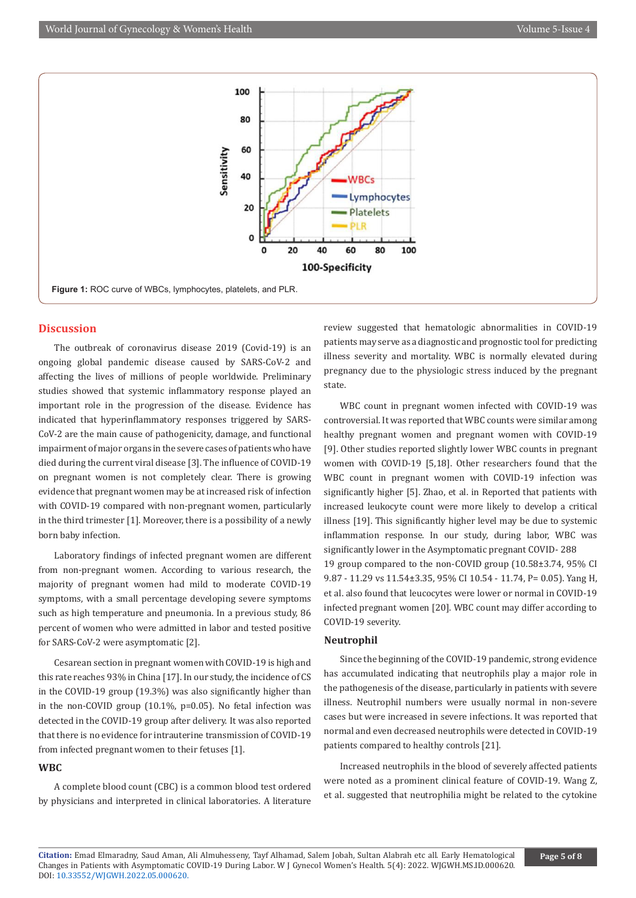

# **Discussion**

The outbreak of coronavirus disease 2019 (Covid-19) is an ongoing global pandemic disease caused by SARS-CoV-2 and affecting the lives of millions of people worldwide. Preliminary studies showed that systemic inflammatory response played an important role in the progression of the disease. Evidence has indicated that hyperinflammatory responses triggered by SARS-CoV-2 are the main cause of pathogenicity, damage, and functional impairment of major organs in the severe cases of patients who have died during the current viral disease [3]. The influence of COVID-19 on pregnant women is not completely clear. There is growing evidence that pregnant women may be at increased risk of infection with COVID-19 compared with non-pregnant women, particularly in the third trimester [1]. Moreover, there is a possibility of a newly born baby infection.

Laboratory findings of infected pregnant women are different from non-pregnant women. According to various research, the majority of pregnant women had mild to moderate COVID-19 symptoms, with a small percentage developing severe symptoms such as high temperature and pneumonia. In a previous study, 86 percent of women who were admitted in labor and tested positive for SARS-CoV-2 were asymptomatic [2].

Cesarean section in pregnant women with COVID-19 is high and this rate reaches 93% in China [17]. In our study, the incidence of CS in the COVID-19 group (19.3%) was also significantly higher than in the non-COVID group (10.1%, p=0.05). No fetal infection was detected in the COVID-19 group after delivery. It was also reported that there is no evidence for intrauterine transmission of COVID-19 from infected pregnant women to their fetuses [1].

# **WBC**

A complete blood count (CBC) is a common blood test ordered by physicians and interpreted in clinical laboratories. A literature review suggested that hematologic abnormalities in COVID-19 patients may serve as a diagnostic and prognostic tool for predicting illness severity and mortality. WBC is normally elevated during pregnancy due to the physiologic stress induced by the pregnant state.

WBC count in pregnant women infected with COVID-19 was controversial. It was reported that WBC counts were similar among healthy pregnant women and pregnant women with COVID-19 [9]. Other studies reported slightly lower WBC counts in pregnant women with COVID-19 [5,18]. Other researchers found that the WBC count in pregnant women with COVID-19 infection was significantly higher [5]. Zhao, et al. in Reported that patients with increased leukocyte count were more likely to develop a critical illness [19]. This significantly higher level may be due to systemic inflammation response. In our study, during labor, WBC was significantly lower in the Asymptomatic pregnant COVID- 288 19 group compared to the non-COVID group (10.58±3.74, 95% CI 9.87 - 11.29 vs 11.54±3.35, 95% CI 10.54 - 11.74, P= 0.05). Yang H, et al. also found that leucocytes were lower or normal in COVID-19 infected pregnant women [20]. WBC count may differ according to COVID-19 severity.

# **Neutrophil**

Since the beginning of the COVID-19 pandemic, strong evidence has accumulated indicating that neutrophils play a major role in the pathogenesis of the disease, particularly in patients with severe illness. Neutrophil numbers were usually normal in non-severe cases but were increased in severe infections. It was reported that normal and even decreased neutrophils were detected in COVID-19 patients compared to healthy controls [21].

Increased neutrophils in the blood of severely affected patients were noted as a prominent clinical feature of COVID-19. Wang Z, et al. suggested that neutrophilia might be related to the cytokine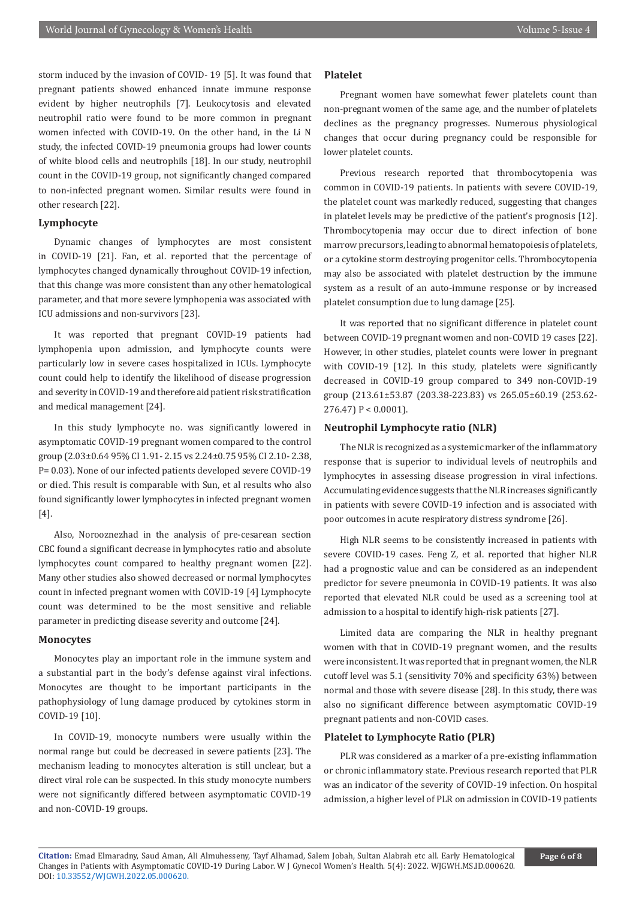storm induced by the invasion of COVID- 19 [5]. It was found that pregnant patients showed enhanced innate immune response evident by higher neutrophils [7]. Leukocytosis and elevated neutrophil ratio were found to be more common in pregnant women infected with COVID-19. On the other hand, in the Li N study, the infected COVID-19 pneumonia groups had lower counts of white blood cells and neutrophils [18]. In our study, neutrophil count in the COVID-19 group, not significantly changed compared to non-infected pregnant women. Similar results were found in other research [22].

# **Lymphocyte**

Dynamic changes of lymphocytes are most consistent in COVID-19 [21]. Fan, et al. reported that the percentage of lymphocytes changed dynamically throughout COVID-19 infection, that this change was more consistent than any other hematological parameter, and that more severe lymphopenia was associated with ICU admissions and non-survivors [23].

It was reported that pregnant COVID-19 patients had lymphopenia upon admission, and lymphocyte counts were particularly low in severe cases hospitalized in ICUs. Lymphocyte count could help to identify the likelihood of disease progression and severity in COVID-19 and therefore aid patient risk stratification and medical management [24].

In this study lymphocyte no. was significantly lowered in asymptomatic COVID-19 pregnant women compared to the control group (2.03±0.64 95% CI 1.91- 2.15 vs 2.24±0.75 95% CI 2.10- 2.38, P= 0.03). None of our infected patients developed severe COVID-19 or died. This result is comparable with Sun, et al results who also found significantly lower lymphocytes in infected pregnant women [4].

Also, Norooznezhad in the analysis of pre‐cesarean section CBC found a significant decrease in lymphocytes ratio and absolute lymphocytes count compared to healthy pregnant women [22]. Many other studies also showed decreased or normal lymphocytes count in infected pregnant women with COVID-19 [4] Lymphocyte count was determined to be the most sensitive and reliable parameter in predicting disease severity and outcome [24].

#### **Monocytes**

Monocytes play an important role in the immune system and a substantial part in the body's defense against viral infections. Monocytes are thought to be important participants in the pathophysiology of lung damage produced by cytokines storm in COVID-19 [10].

In COVID-19, monocyte numbers were usually within the normal range but could be decreased in severe patients [23]. The mechanism leading to monocytes alteration is still unclear, but a direct viral role can be suspected. In this study monocyte numbers were not significantly differed between asymptomatic COVID-19 and non-COVID-19 groups.

# **Platelet**

Pregnant women have somewhat fewer platelets count than non-pregnant women of the same age, and the number of platelets declines as the pregnancy progresses. Numerous physiological changes that occur during pregnancy could be responsible for lower platelet counts.

Previous research reported that thrombocytopenia was common in COVID-19 patients. In patients with severe COVID-19, the platelet count was markedly reduced, suggesting that changes in platelet levels may be predictive of the patient's prognosis [12]. Thrombocytopenia may occur due to direct infection of bone marrow precursors, leading to abnormal hematopoiesis of platelets, or a cytokine storm destroying progenitor cells. Thrombocytopenia may also be associated with platelet destruction by the immune system as a result of an auto-immune response or by increased platelet consumption due to lung damage [25].

It was reported that no significant difference in platelet count between COVID-19 pregnant women and non-COVID 19 cases [22]. However, in other studies, platelet counts were lower in pregnant with COVID-19 [12]. In this study, platelets were significantly decreased in COVID-19 group compared to 349 non-COVID-19 group (213.61±53.87 (203.38-223.83) vs 265.05±60.19 (253.62- 276.47) P < 0.0001).

# **Neutrophil Lymphocyte ratio (NLR)**

The NLR is recognized as a systemic marker of the inflammatory response that is superior to individual levels of neutrophils and lymphocytes in assessing disease progression in viral infections. Accumulating evidence suggests that the NLR increases significantly in patients with severe COVID-19 infection and is associated with poor outcomes in acute respiratory distress syndrome [26].

High NLR seems to be consistently increased in patients with severe COVID-19 cases. Feng Z, et al. reported that higher NLR had a prognostic value and can be considered as an independent predictor for severe pneumonia in COVID-19 patients. It was also reported that elevated NLR could be used as a screening tool at admission to a hospital to identify high-risk patients [27].

Limited data are comparing the NLR in healthy pregnant women with that in COVID-19 pregnant women, and the results were inconsistent. It was reported that in pregnant women, the NLR cutoff level was 5.1 (sensitivity 70% and specificity 63%) between normal and those with severe disease [28]. In this study, there was also no significant difference between asymptomatic COVID-19 pregnant patients and non-COVID cases.

#### **Platelet to Lymphocyte Ratio (PLR)**

PLR was considered as a marker of a pre-existing inflammation or chronic inflammatory state. Previous research reported that PLR was an indicator of the severity of COVID-19 infection. On hospital admission, a higher level of PLR on admission in COVID-19 patients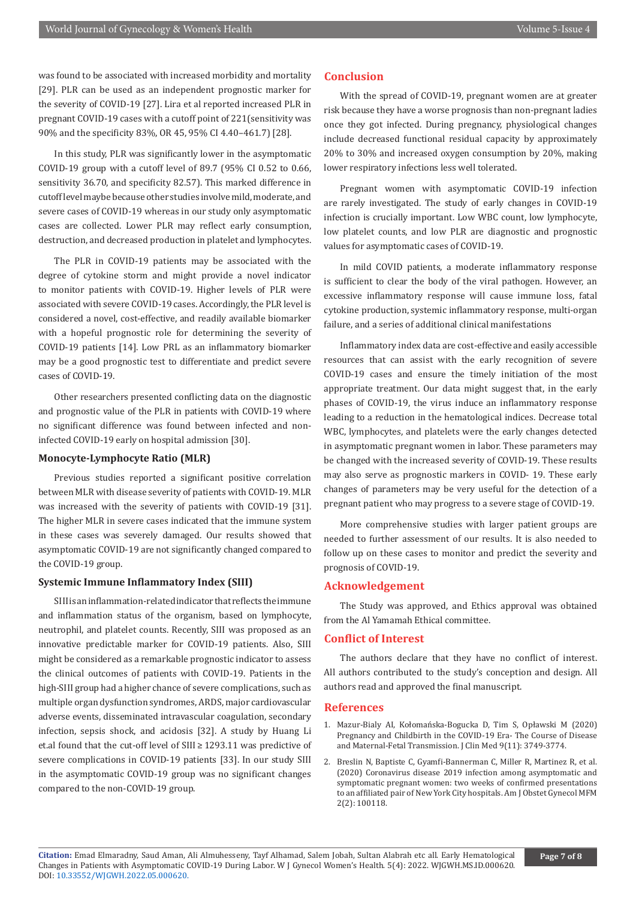was found to be associated with increased morbidity and mortality [29]. PLR can be used as an independent prognostic marker for the severity of COVID-19 [27]. Lira et al reported increased PLR in pregnant COVID-19 cases with a cutoff point of 221(sensitivity was 90% and the specificity 83%, OR 45, 95% CI 4.40–461.7) [28].

In this study, PLR was significantly lower in the asymptomatic COVID-19 group with a cutoff level of 89.7 (95% CI 0.52 to 0.66, sensitivity 36.70, and specificity 82.57). This marked difference in cutoff level maybe because other studies involve mild, moderate, and severe cases of COVID-19 whereas in our study only asymptomatic cases are collected. Lower PLR may reflect early consumption, destruction, and decreased production in platelet and lymphocytes.

The PLR in COVID-19 patients may be associated with the degree of cytokine storm and might provide a novel indicator to monitor patients with COVID‐19. Higher levels of PLR were associated with severe COVID-19 cases. Accordingly, the PLR level is considered a novel, cost-effective, and readily available biomarker with a hopeful prognostic role for determining the severity of COVID-19 patients [14]. Low PRL as an inflammatory biomarker may be a good prognostic test to differentiate and predict severe cases of COVID-19.

Other researchers presented conflicting data on the diagnostic and prognostic value of the PLR in patients with COVID-19 where no significant difference was found between infected and noninfected COVID-19 early on hospital admission [30].

# **Monocyte-Lymphocyte Ratio (MLR)**

Previous studies reported a significant positive correlation between MLR with disease severity of patients with COVID-19. MLR was increased with the severity of patients with COVID-19 [31]. The higher MLR in severe cases indicated that the immune system in these cases was severely damaged. Our results showed that asymptomatic COVID-19 are not significantly changed compared to the COVID-19 group.

# **Systemic Immune Inflammatory Index (SIII)**

SIII is an inflammation-related indicator that reflects the immune and inflammation status of the organism, based on lymphocyte, neutrophil, and platelet counts. Recently, SIII was proposed as an innovative predictable marker for COVID-19 patients. Also, SIII might be considered as a remarkable prognostic indicator to assess the clinical outcomes of patients with COVID-19. Patients in the high-SIII group had a higher chance of severe complications, such as multiple organ dysfunction syndromes, ARDS, major cardiovascular adverse events, disseminated intravascular coagulation, secondary infection, sepsis shock, and acidosis [32]. A study by Huang Li et.al found that the cut-off level of SIII ≥ 1293.11 was predictive of severe complications in COVID-19 patients [33]. In our study SIII in the asymptomatic COVID-19 group was no significant changes compared to the non-COVID-19 group.

# **Conclusion**

With the spread of COVID-19, pregnant women are at greater risk because they have a worse prognosis than non-pregnant ladies once they got infected. During pregnancy, physiological changes include decreased functional residual capacity by approximately 20% to 30% and increased oxygen consumption by 20%, making lower respiratory infections less well tolerated.

Pregnant women with asymptomatic COVID-19 infection are rarely investigated. The study of early changes in COVID-19 infection is crucially important. Low WBC count, low lymphocyte, low platelet counts, and low PLR are diagnostic and prognostic values for asymptomatic cases of COVID-19.

In mild COVID patients, a moderate inflammatory response is sufficient to clear the body of the viral pathogen. However, an excessive inflammatory response will cause immune loss, fatal cytokine production, systemic inflammatory response, multi-organ failure, and a series of additional clinical manifestations

Inflammatory index data are cost-effective and easily accessible resources that can assist with the early recognition of severe COVID-19 cases and ensure the timely initiation of the most appropriate treatment. Our data might suggest that, in the early phases of COVID-19, the virus induce an inflammatory response leading to a reduction in the hematological indices. Decrease total WBC, lymphocytes, and platelets were the early changes detected in asymptomatic pregnant women in labor. These parameters may be changed with the increased severity of COVID-19. These results may also serve as prognostic markers in COVID- 19. These early changes of parameters may be very useful for the detection of a pregnant patient who may progress to a severe stage of COVID-19.

More comprehensive studies with larger patient groups are needed to further assessment of our results. It is also needed to follow up on these cases to monitor and predict the severity and prognosis of COVID‑19.

# **Acknowledgement**

The Study was approved, and Ethics approval was obtained from the Al Yamamah Ethical committee.

# **Conflict of Interest**

The authors declare that they have no conflict of interest. All authors contributed to the study's conception and design. All authors read and approved the final manuscript.

### **References**

- 1. [Mazur-Bialy AI, Kołomańska-Bogucka D, Tim S, Opławski M \(2020\)](https://pubmed.ncbi.nlm.nih.gov/33233369/) [Pregnancy and Childbirth in the COVID-19 Era- The Course of Disease](https://pubmed.ncbi.nlm.nih.gov/33233369/) [and Maternal-Fetal Transmission. J Clin Med 9\(11\): 3749-3774.](https://pubmed.ncbi.nlm.nih.gov/33233369/)
- 2. [Breslin N, Baptiste C, Gyamfi-Bannerman C, Miller R, Martinez R, et al.](https://pubmed.ncbi.nlm.nih.gov/32292903/) [\(2020\) Coronavirus disease 2019 infection among asymptomatic and](https://pubmed.ncbi.nlm.nih.gov/32292903/) [symptomatic pregnant women: two weeks of confirmed presentations](https://pubmed.ncbi.nlm.nih.gov/32292903/) [to an affiliated pair of New York City hospitals. Am J Obstet Gynecol MFM](https://pubmed.ncbi.nlm.nih.gov/32292903/) [2\(2\): 100118.](https://pubmed.ncbi.nlm.nih.gov/32292903/)